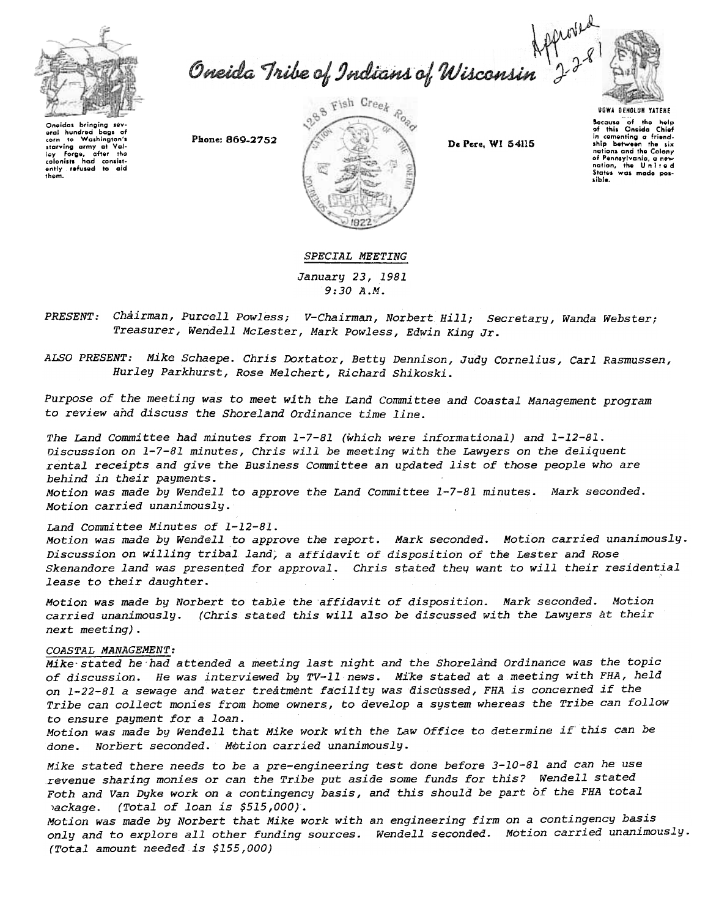

Oneida Tribe of Indians of Wisconsin  $2^{2^{8}}$ 



Oneidas bringing sév-<br>eral hundred bags oi<br>corn to Washingtan's starving army at Val<br>Iey Forge, after the calonists had consist:<br>ently refused to aid them.



Bocause of the holp<br>of this Oneida Chio in cementing a friend<br>ship between the si nations and tho Colony of Pennsylvania, a new<br>nation, the Unite c<br>Status was made pos sible.

## SPECIAL MEETING

January 23, 1981 9:30 A.M.

Chairman, Purcell Powless; V-Chairman, Norbert Hill; Secretary, Wanda Webster; *PRESENT:* Treasurer, Wendell McLester, Mark Powless, Edwin King Jr.

ALSO PRESENT: Mike Schaepe. Chris Doxtator, Betty Dennison, Judy Cornelius, Carl Rasmussen, Hurley Parkhurst, Rose Melchert, Richard Shikoski.

Purpose of the meeting was to meet with the Land Committee and Coastal Management program to review and discuss the Shoreland Ordinance time line.

The Land Committee had minutes from 1-7-81 (which were informational) and 1-12-81. Discussion on 1-7-81 minutes, Chris will be meeting with the Lawyers on the deliquent rental receipts and give the Business Committee an updated list of those people who are behind in their payments. Motion was made by Wendell to approve the Land Committee  $1-7-81$  minutes. Mark seconded. Motion carried unanimously.

## Land Committee Minutes of 1-12-81.

Motion was made by Wendell to approve the report. Mark seconded. Motion carried unanimously. Discussion on willing tribal. land; a affidavit of disposition of the Lester and Rose Skenandore land was presented for approval. Chris stated they want to will their residential lease to their daughter.

Motion was made by Norbert to table the affidavit of disposition. Mark seconded. Motion carried unanimously. (Chris stated this will also be discussed with the Lawyers at their next meeting).

## COASTAL MANAGEMENT:

Mike stated he had attended a meeting last night and the Shoreland Ordinance was the topic of discussion. He was interviewed by TV-II news. Mi'ke stated at a meeting with FHA, held on 1-22-81 a sewage and water treatment facility was discussed, FHA is concerned if the Tribe can collect monies from home owners, to develop a system whereas the Tribe can follow to ensure payment for a loan.

Motion was made by Wendell that Mike work with the Law Office to determine if'this can be done. Norbert seconded. Motion carried unanimously.

Mike stated there needs to be a pre-engineering test done before 3-10-81 and can he use revenue sharing monies or can the Tribe put aside some funds for this? Wendell stated Foth and Van Dyke work on a contingency basis, and this should be part of the FHA total Jackage. (Total of loan is \$515,000).

Motion was made by Norbert that Mike work with an engineering firm on a contingency basis only and to explore all other funding sources. Wendell seconded. Motion carried unanimously. (Total amount needed is \$155,000)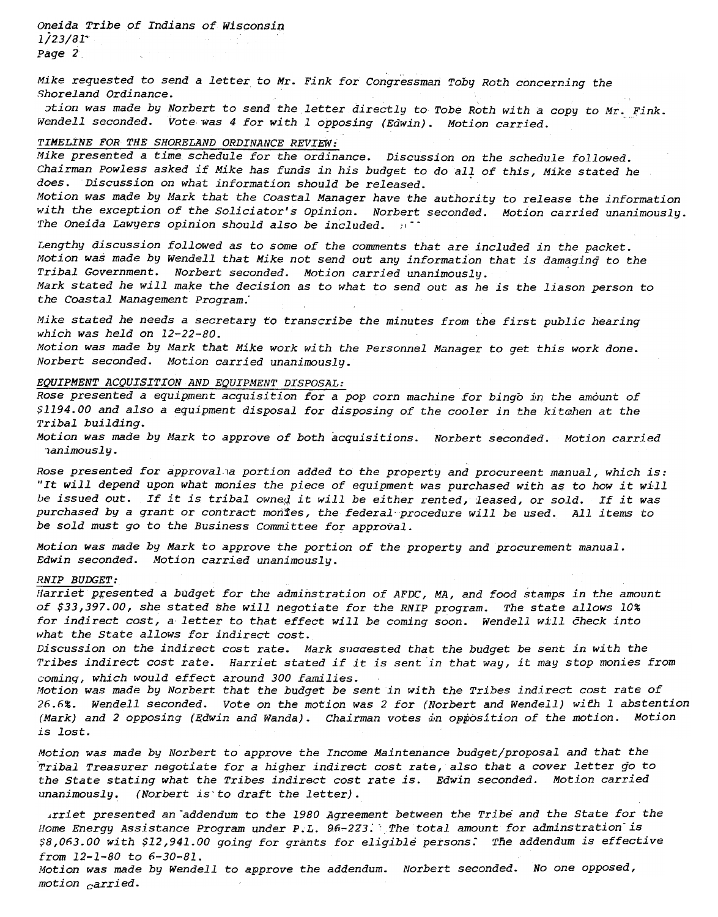Oneida Tribe of Indians of Wisconsin  $1/23/31$ <sup>-</sup> Page 2

Mike requested to send a letter to Mr. Fink for Congressman Toby Roth concerning the Shoreland Ordinance.

otion was made by Norbert to send the letter directly to Tobe Roth with a copy to Mr. Fink. Wendell seconded. Vote was 4 for with 1 opposing (Edwin). Motion carried.

### TIMELINE FOR THE SHORELAND ORDINANCE REVIEW:

Mike presented a time schedule for the ordinance. Discussion on the schedule followed. Chairman Powless asked if Mike has funds in his budget to do all of this, Mike stated he does. Discussion on what information should be released. Motion was made by Mark that the Coastal Manager have the authority to release the information with the exception of the Soliciator's Opinion. Norbert seconded. Motion carried unanimously. The Oneida Lawyers opinion should also be included.

Lengthy discussion followed as to some of the comments that are included in the packet. Motion was made by Wendell that Mike not send out any information that is damaging to the Tribal Government. Norbert seconded. Motion carried unanimously. Mark stated he will make the decision as to what to send out as he is the liason person to the Coastal Management Program.'

Mike stated he needs a secretary to transcribe the minutes from the first public hearing which was held on 12-22-80. Motion was made by Mark that Mike work with the Personnel Manager to get this work done.

Norbert seconded. Motion carried unanimously.

# EQUIPMENT ACQUISITION AND EQUIPMENT DISPOSAL:

Rose presented a equipment acquisition for a pop corn machine for bingo in the amount of \$1194.00 and also a equipment disposal for disposing of the cooler in the kitchen at the Tribal building.

Motion was made by Mark to approve of both acquisitions. Norbert seconded. Motion carried ,animously.

Rose presented for approval a portion added to the property and procureent manual, which is: "It will depend upon what monies the piece of equipment was purchased with as to how it will be issued out. If it is tribal owned it will be either rented, leased, or sold. If it was purchased by a grant or contract monies, the federal procedure will be used. All items to be sold must go to the Business Committee for approval.

Motion was made by Mark to approve the portion of the property and procurement manual. Edwin seconded. Motion carried unanimously.

### RNIP BUDGET:

Harriet presented a budget for the adminstration of AFDC, MA, and food stamps in the amount of \$33,397.00, she stated she will negotiate for the RNIP program. The state allows 10% for indirect cost, a-letter to that effect will be coming soon. Wendell will check into what the State allows for indirect cost.

Discussion on the indirect cost rate. Mark suggested that the budget be sent in with the Tribes indirect cost rate. Harriet stated if it is sent in that way, it may stop monies from cominq, which would effect around 300 families.

Motion was made by Norbert that the budget be sent in with the Tribes indirect cost rate of 26.6%. Wendell seconded. Vote on the motion was 2 for (Norbert and Wendell) wiEh 1 abstention (Mark) and 2 opposing (Edwin and Wanda). Chairman votes in opposition of the motion. Motion is lost.

Motion was made by Norbert to approve the Income Maintenance budget/proposal and that the 'Tribal Treasurer negotiate for a higher indirect cost rate, also that a cover letter go to the State stating what the Tribes indirect cost rate is. Edwin seconded. Motion carried unanimously. (Norbert is to draft the letter).

Arriet presented an addendum to the 1980 Agreement between the Tribe and the State for the Home Energy Assistance Program under P.L.  $96-223$ . The total amount for adminstration is \$8,063.00 with \$12,941.00 going for grants for eligible persons. The addendum is effective from 12-1-80 to 6-30-81.

Motion was made by Wendell to approve the addendum. Norbert seconded. No one opposed, motion  $\epsilon$ arried.